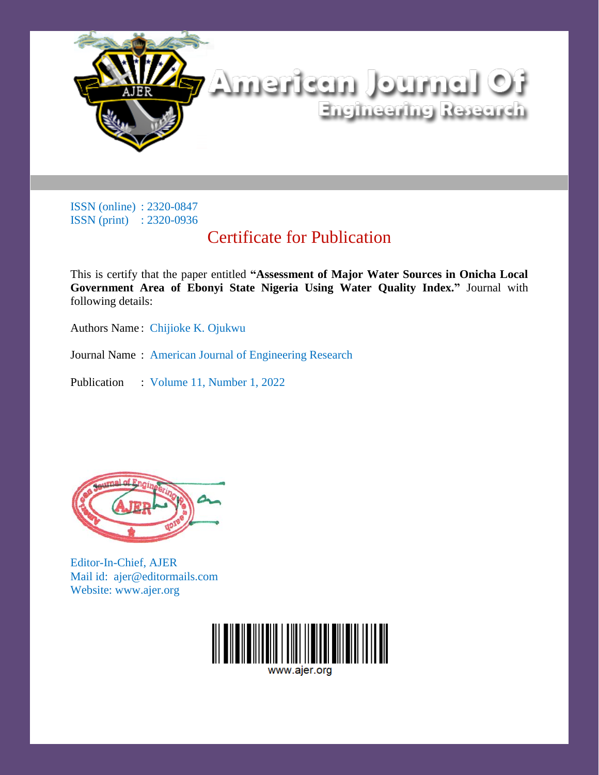

## Certificate for Publication

This is certify that the paper entitled **"Assessment of Major Water Sources in Onicha Local Government Area of Ebonyi State Nigeria Using Water Quality Index."** Journal with following details:

Authors Name : Chijioke K. Ojukwu

Journal Name : American Journal of Engineering Research

Publication : Volume 11, Number 1, 2022



Editor-In-Chief, AJER Mail id: ajer@editormails.com Website: www.ajer.org

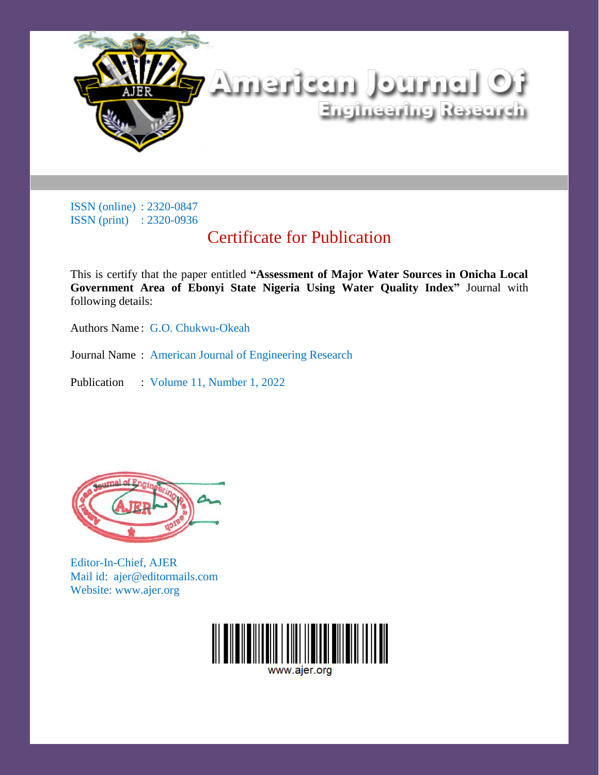

## Certificate for Publication

This is certify that the paper entitled **"Assessment of Major Water Sources in Onicha Local Government Area of Ebonyi State Nigeria Using Water Quality Index"** Journal with following details:

Authors Name : G.O. Chukwu-Okeah

Journal Name : American Journal of Engineering Research

Publication : Volume 11, Number 1, 2022



Editor-In-Chief, AJER Mail id: ajer@editormails.com Website: www.ajer.org

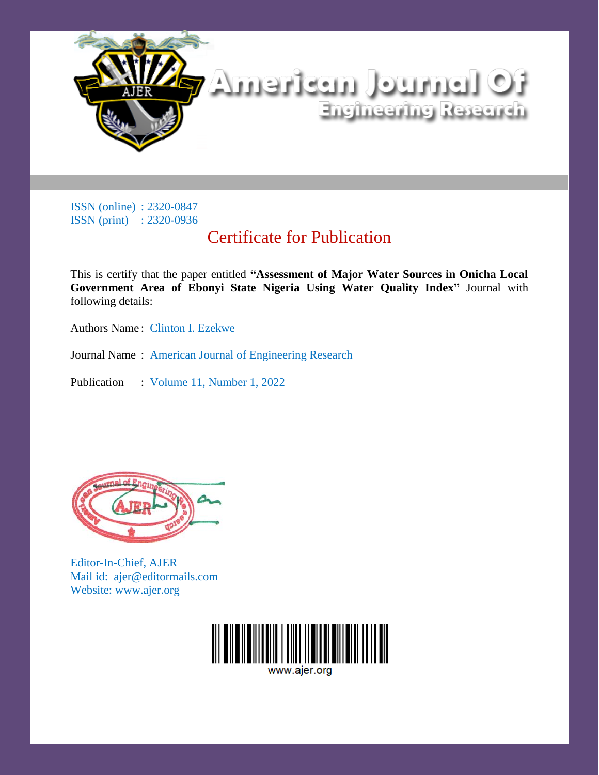

## Certificate for Publication

This is certify that the paper entitled **"Assessment of Major Water Sources in Onicha Local Government Area of Ebonyi State Nigeria Using Water Quality Index"** Journal with following details:

Authors Name : Clinton I. Ezekwe

Journal Name : American Journal of Engineering Research

Publication : Volume 11, Number 1, 2022



Editor-In-Chief, AJER Mail id: ajer@editormails.com Website: www.ajer.org